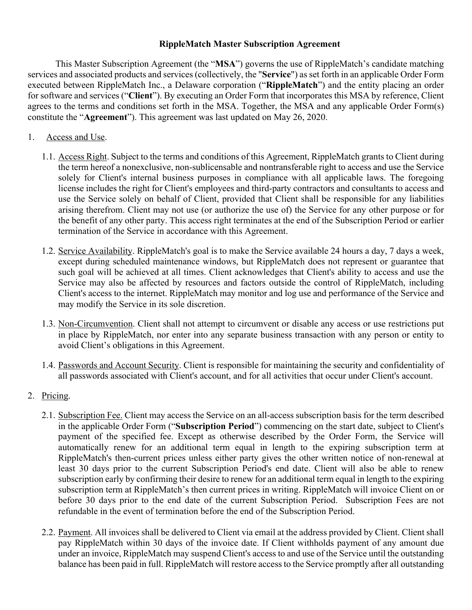## **RippleMatch Master Subscription Agreement**

This Master Subscription Agreement (the "**MSA**") governs the use of RippleMatch's candidate matching services and associated products and services (collectively, the "**Service**") as set forth in an applicable Order Form executed between RippleMatch Inc., a Delaware corporation ("**RippleMatch**") and the entity placing an order for software and services ("**Client**"). By executing an Order Form that incorporates this MSA by reference, Client agrees to the terms and conditions set forth in the MSA. Together, the MSA and any applicable Order Form(s) constitute the "**Agreement**"). This agreement was last updated on May 26, 2020.

- 1. Access and Use.
	- 1.1. Access Right. Subject to the terms and conditions of this Agreement, RippleMatch grants to Client during the term hereof a nonexclusive, non-sublicensable and nontransferable right to access and use the Service solely for Client's internal business purposes in compliance with all applicable laws. The foregoing license includes the right for Client's employees and third-party contractors and consultants to access and use the Service solely on behalf of Client, provided that Client shall be responsible for any liabilities arising therefrom. Client may not use (or authorize the use of) the Service for any other purpose or for the benefit of any other party. This access right terminates at the end of the Subscription Period or earlier termination of the Service in accordance with this Agreement.
	- 1.2. Service Availability. RippleMatch's goal is to make the Service available 24 hours a day, 7 days a week, except during scheduled maintenance windows, but RippleMatch does not represent or guarantee that such goal will be achieved at all times. Client acknowledges that Client's ability to access and use the Service may also be affected by resources and factors outside the control of RippleMatch, including Client's access to the internet. RippleMatch may monitor and log use and performance of the Service and may modify the Service in its sole discretion.
	- 1.3. Non-Circumvention. Client shall not attempt to circumvent or disable any access or use restrictions put in place by RippleMatch, nor enter into any separate business transaction with any person or entity to avoid Client's obligations in this Agreement.
	- 1.4. Passwords and Account Security. Client is responsible for maintaining the security and confidentiality of all passwords associated with Client's account, and for all activities that occur under Client's account.
- 2. Pricing.
	- 2.1. Subscription Fee. Client may access the Service on an all-access subscription basis for the term described in the applicable Order Form ("**Subscription Period**") commencing on the start date, subject to Client's payment of the specified fee. Except as otherwise described by the Order Form, the Service will automatically renew for an additional term equal in length to the expiring subscription term at RippleMatch's then-current prices unless either party gives the other written notice of non-renewal at least 30 days prior to the current Subscription Period's end date. Client will also be able to renew subscription early by confirming their desire to renew for an additional term equal in length to the expiring subscription term at RippleMatch's then current prices in writing. RippleMatch will invoice Client on or before 30 days prior to the end date of the current Subscription Period. Subscription Fees are not refundable in the event of termination before the end of the Subscription Period.
	- 2.2. Payment. All invoices shall be delivered to Client via email at the address provided by Client. Client shall pay RippleMatch within 30 days of the invoice date. If Client withholds payment of any amount due under an invoice, RippleMatch may suspend Client's access to and use of the Service until the outstanding balance has been paid in full. RippleMatch will restore access to the Service promptly after all outstanding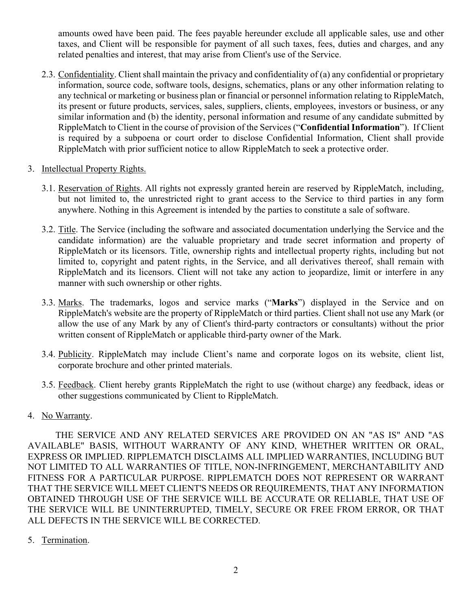amounts owed have been paid. The fees payable hereunder exclude all applicable sales, use and other taxes, and Client will be responsible for payment of all such taxes, fees, duties and charges, and any related penalties and interest, that may arise from Client's use of the Service.

- 2.3. Confidentiality. Client shall maintain the privacy and confidentiality of (a) any confidential or proprietary information, source code, software tools, designs, schematics, plans or any other information relating to any technical or marketing or business plan or financial or personnel information relating to RippleMatch, its present or future products, services, sales, suppliers, clients, employees, investors or business, or any similar information and (b) the identity, personal information and resume of any candidate submitted by RippleMatch to Client in the course of provision of the Services ("**Confidential Information**"). If Client is required by a subpoena or court order to disclose Confidential Information, Client shall provide RippleMatch with prior sufficient notice to allow RippleMatch to seek a protective order.
- 3. Intellectual Property Rights.
	- 3.1. Reservation of Rights. All rights not expressly granted herein are reserved by RippleMatch, including, but not limited to, the unrestricted right to grant access to the Service to third parties in any form anywhere. Nothing in this Agreement is intended by the parties to constitute a sale of software.
	- 3.2. Title. The Service (including the software and associated documentation underlying the Service and the candidate information) are the valuable proprietary and trade secret information and property of RippleMatch or its licensors. Title, ownership rights and intellectual property rights, including but not limited to, copyright and patent rights, in the Service, and all derivatives thereof, shall remain with RippleMatch and its licensors. Client will not take any action to jeopardize, limit or interfere in any manner with such ownership or other rights.
	- 3.3. Marks. The trademarks, logos and service marks ("**Marks**") displayed in the Service and on RippleMatch's website are the property of RippleMatch or third parties. Client shall not use any Mark (or allow the use of any Mark by any of Client's third-party contractors or consultants) without the prior written consent of RippleMatch or applicable third-party owner of the Mark.
	- 3.4. Publicity. RippleMatch may include Client's name and corporate logos on its website, client list, corporate brochure and other printed materials.
	- 3.5. Feedback. Client hereby grants RippleMatch the right to use (without charge) any feedback, ideas or other suggestions communicated by Client to RippleMatch.
- 4. No Warranty.

THE SERVICE AND ANY RELATED SERVICES ARE PROVIDED ON AN "AS IS" AND "AS AVAILABLE" BASIS, WITHOUT WARRANTY OF ANY KIND, WHETHER WRITTEN OR ORAL, EXPRESS OR IMPLIED. RIPPLEMATCH DISCLAIMS ALL IMPLIED WARRANTIES, INCLUDING BUT NOT LIMITED TO ALL WARRANTIES OF TITLE, NON-INFRINGEMENT, MERCHANTABILITY AND FITNESS FOR A PARTICULAR PURPOSE. RIPPLEMATCH DOES NOT REPRESENT OR WARRANT THAT THE SERVICE WILL MEET CLIENT'S NEEDS OR REQUIREMENTS, THAT ANY INFORMATION OBTAINED THROUGH USE OF THE SERVICE WILL BE ACCURATE OR RELIABLE, THAT USE OF THE SERVICE WILL BE UNINTERRUPTED, TIMELY, SECURE OR FREE FROM ERROR, OR THAT ALL DEFECTS IN THE SERVICE WILL BE CORRECTED.

5. Termination.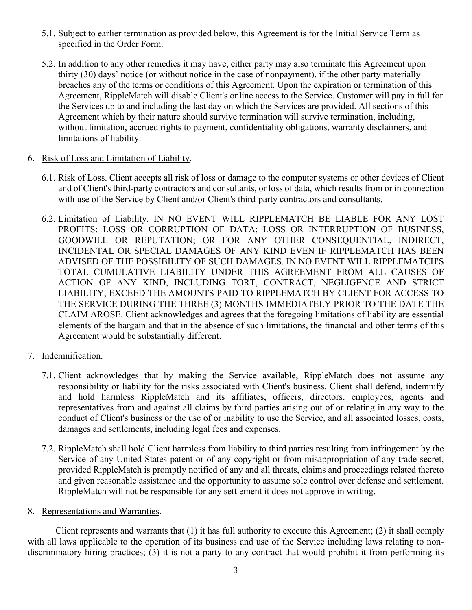- 5.1. Subject to earlier termination as provided below, this Agreement is for the Initial Service Term as specified in the Order Form.
- 5.2. In addition to any other remedies it may have, either party may also terminate this Agreement upon thirty (30) days' notice (or without notice in the case of nonpayment), if the other party materially breaches any of the terms or conditions of this Agreement. Upon the expiration or termination of this Agreement, RippleMatch will disable Client's online access to the Service. Customer will pay in full for the Services up to and including the last day on which the Services are provided. All sections of this Agreement which by their nature should survive termination will survive termination, including, without limitation, accrued rights to payment, confidentiality obligations, warranty disclaimers, and limitations of liability.
- 6. Risk of Loss and Limitation of Liability.
	- 6.1. Risk of Loss. Client accepts all risk of loss or damage to the computer systems or other devices of Client and of Client's third-party contractors and consultants, or loss of data, which results from or in connection with use of the Service by Client and/or Client's third-party contractors and consultants.
	- 6.2. Limitation of Liability. IN NO EVENT WILL RIPPLEMATCH BE LIABLE FOR ANY LOST PROFITS; LOSS OR CORRUPTION OF DATA; LOSS OR INTERRUPTION OF BUSINESS, GOODWILL OR REPUTATION; OR FOR ANY OTHER CONSEQUENTIAL, INDIRECT, INCIDENTAL OR SPECIAL DAMAGES OF ANY KIND EVEN IF RIPPLEMATCH HAS BEEN ADVISED OF THE POSSIBILITY OF SUCH DAMAGES. IN NO EVENT WILL RIPPLEMATCH'S TOTAL CUMULATIVE LIABILITY UNDER THIS AGREEMENT FROM ALL CAUSES OF ACTION OF ANY KIND, INCLUDING TORT, CONTRACT, NEGLIGENCE AND STRICT LIABILITY, EXCEED THE AMOUNTS PAID TO RIPPLEMATCH BY CLIENT FOR ACCESS TO THE SERVICE DURING THE THREE (3) MONTHS IMMEDIATELY PRIOR TO THE DATE THE CLAIM AROSE. Client acknowledges and agrees that the foregoing limitations of liability are essential elements of the bargain and that in the absence of such limitations, the financial and other terms of this Agreement would be substantially different.
- 7. Indemnification.
	- 7.1. Client acknowledges that by making the Service available, RippleMatch does not assume any responsibility or liability for the risks associated with Client's business. Client shall defend, indemnify and hold harmless RippleMatch and its affiliates, officers, directors, employees, agents and representatives from and against all claims by third parties arising out of or relating in any way to the conduct of Client's business or the use of or inability to use the Service, and all associated losses, costs, damages and settlements, including legal fees and expenses.
	- 7.2. RippleMatch shall hold Client harmless from liability to third parties resulting from infringement by the Service of any United States patent or of any copyright or from misappropriation of any trade secret, provided RippleMatch is promptly notified of any and all threats, claims and proceedings related thereto and given reasonable assistance and the opportunity to assume sole control over defense and settlement. RippleMatch will not be responsible for any settlement it does not approve in writing.
- 8. Representations and Warranties.

 Client represents and warrants that (1) it has full authority to execute this Agreement; (2) it shall comply with all laws applicable to the operation of its business and use of the Service including laws relating to nondiscriminatory hiring practices; (3) it is not a party to any contract that would prohibit it from performing its